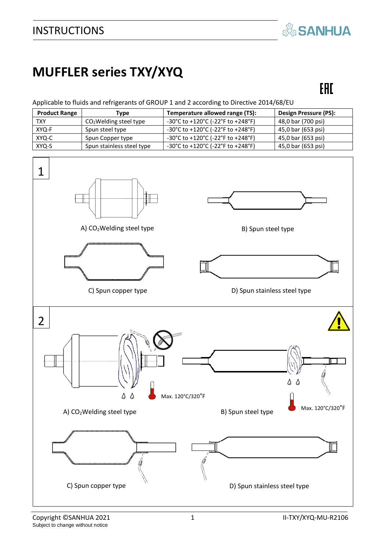## **& SANHUA**

# **MUFFLER series TXY/XYQ**

## EAC

#### Applicable to fluids and refrigerants of GROUP 1 and 2 according to Directive 2014/68/EU

| <b>Product Range</b> | Type                      | Temperature allowed range (TS):                                              | <b>Design Pressure (PS):</b> |
|----------------------|---------------------------|------------------------------------------------------------------------------|------------------------------|
| <b>TXY</b>           | $CO2$ Welding steel type  | $-30^{\circ}$ C to $+120^{\circ}$ C ( $-22^{\circ}$ F to $+248^{\circ}$ F)   | 48,0 bar (700 psi)           |
| XYQ-F                | Spun steel type           | $-30^{\circ}$ C to +120 $^{\circ}$ C (-22 $^{\circ}$ F to +248 $^{\circ}$ F) | 45,0 bar (653 psi)           |
| XYQ-C                | Spun Copper type          | $-30^{\circ}$ C to $+120^{\circ}$ C ( $-22^{\circ}$ F to $+248^{\circ}$ F)   | 45,0 bar (653 psi)           |
| XYQ-S                | Spun stainless steel type | $-30^{\circ}$ C to +120 $^{\circ}$ C (-22 $^{\circ}$ F to +248 $^{\circ}$ F) | 45,0 bar (653 psi)           |